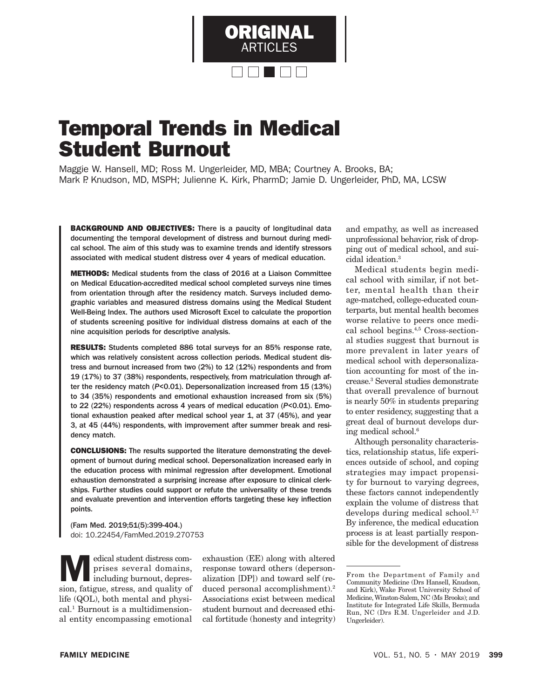

# Temporal Trends in Medical Student Burnout

Maggie W. Hansell, MD; Ross M. Ungerleider, MD, MBA; Courtney A. Brooks, BA; Mark P. Knudson, MD, MSPH; Julienne K. Kirk, PharmD; Jamie D. Ungerleider, PhD, MA, LCSW

BACKGROUND AND OBJECTIVES: There is a paucity of longitudinal data documenting the temporal development of distress and burnout during medical school. The aim of this study was to examine trends and identify stressors associated with medical student distress over 4 years of medical education.

METHODS: Medical students from the class of 2016 at a Liaison Committee on Medical Education-accredited medical school completed surveys nine times from orientation through after the residency match. Surveys included demographic variables and measured distress domains using the Medical Student Well-Being Index. The authors used Microsoft Excel to calculate the proportion of students screening positive for individual distress domains at each of the nine acquisition periods for descriptive analysis.

RESULTS: Students completed 886 total surveys for an 85% response rate, which was relatively consistent across collection periods. Medical student distress and burnout increased from two (2%) to 12 (12%) respondents and from 19 (17%) to 37 (38%) respondents, respectively, from matriculation through after the residency match (*P*<0.01). Depersonalization increased from 15 (13%) to 34 (35%) respondents and emotional exhaustion increased from six (5%) to 22 (22%) respondents across 4 years of medical education (*P*<0.01). Emotional exhaustion peaked after medical school year 1, at 37 (45%), and year 3, at 45 (44%) respondents, with improvement after summer break and residency match.

CONCLUSIONS: The results supported the literature demonstrating the development of burnout during medical school. Depersonalization increased early in the education process with minimal regression after development. Emotional exhaustion demonstrated a surprising increase after exposure to clinical clerkships. Further studies could support or refute the universality of these trends and evaluate prevention and intervention efforts targeting these key infection points.

(Fam Med. 2019;51(5):399-404.) doi: 10.22454/FamMed.2019.270753

Medical student distress com-<br>
prises several domains,<br>
including burnout, depres-<br>
sign fotigue stress, and quality of prises several domains, sion, fatigue, stress, and quality of life (QOL), both mental and physical.1 Burnout is a multidimensional entity encompassing emotional

exhaustion (EE) along with altered response toward others (depersonalization [DP]) and toward self (reduced personal accomplishment).2 Associations exist between medical student burnout and decreased ethical fortitude (honesty and integrity) and empathy, as well as increased unprofessional behavior, risk of dropping out of medical school, and suicidal ideation.3

Medical students begin medical school with similar, if not better, mental health than their age-matched, college-educated counterparts, but mental health becomes worse relative to peers once medical school begins.4,5 Cross-sectional studies suggest that burnout is more prevalent in later years of medical school with depersonalization accounting for most of the increase.3 Several studies demonstrate that overall prevalence of burnout is nearly 50% in students preparing to enter residency, suggesting that a great deal of burnout develops during medical school.6

Although personality characteristics, relationship status, life experiences outside of school, and coping strategies may impact propensity for burnout to varying degrees, these factors cannot independently explain the volume of distress that develops during medical school.3,7 By inference, the medical education process is at least partially responsible for the development of distress

From the Department of Family and Community Medicine (Drs Hansell, Knudson, and Kirk), Wake Forest University School of Medicine, Winston-Salem, NC (Ms Brooks); and Institute for Integrated Life Skills, Bermuda Run, NC (Drs R.M. Ungerleider and J.D. Ungerleider).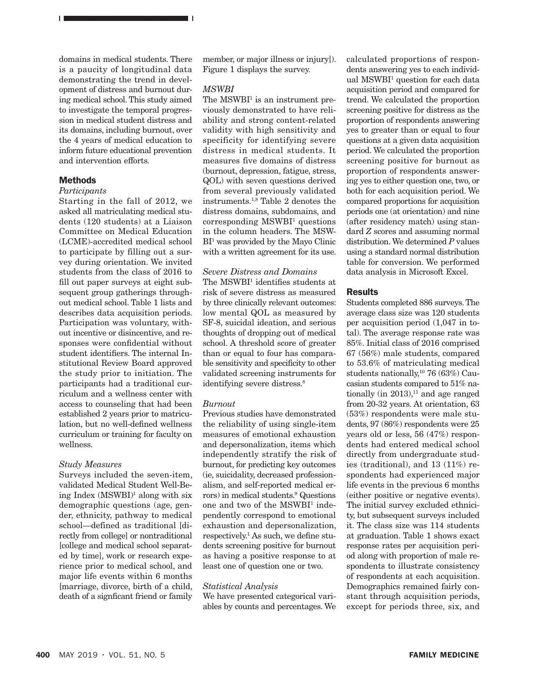domains in medical students. There is a paucity of longitudinal data demonstrating the trend in development of distress and burnout during medical school. This study aimed to investigate the temporal progression in medical student distress and its domains, including burnout, over the 4 years of medical education to inform future educational prevention and intervention efforts.

<u>ORIGINAL ARTICLES I</u>

#### **Methods**

#### *Participants*

Starting in the fall of 2012, we asked all matriculating medical students (120 students) at a Liaison Committee on Medical Education (LCME)-accredited medical school to participate by filling out a survey during orientation. We invited students from the class of 2016 to fll out paper surveys at eight subsequent group gatherings throughout medical school. Table 1 lists and describes data acquisition periods. Participation was voluntary, without incentive or disincentive, and responses were confdential without student identifers. The internal Institutional Review Board approved the study prior to initiation. The participants had a traditional curriculum and a wellness center with access to counseling that had been established 2 years prior to matriculation, but no well-defned wellness curriculum or training for faculty on wellness.

#### *Study Measures*

Surveys included the seven-item, validated Medical Student Well-Being Index  $(MSWBI)^1$  along with six demographic questions (age, gender, ethnicity, pathway to medical school—defined as traditional [directly from college] or nontraditional [college and medical school separated by time], work or research experience prior to medical school, and major life events within 6 months [marriage, divorce, birth of a child, death of a signfcant friend or family

member, or major illness or injury]). Figure 1 displays the survey.

## *MSWBI*

The  $MSWBI<sup>1</sup>$  is an instrument previously demonstrated to have reliability and strong content-related validity with high sensitivity and specificity for identifying severe distress in medical students. It measures five domains of distress (burnout, depression, fatigue, stress, QOL) with seven questions derived from several previously validated instruments.1,8 Table 2 denotes the distress domains, subdomains, and corresponding MSWBI<sup>1</sup> questions in the column headers. The MSW-BI<sup>1</sup> was provided by the Mayo Clinic with a written agreement for its use.

#### *Severe Distress and Domains*

The MSWBI<sup>1</sup> identifies students at risk of severe distress as measured by three clinically relevant outcomes: low mental QOL as measured by SF-8, suicidal ideation, and serious thoughts of dropping out of medical school. A threshold score of greater than or equal to four has comparable sensitivity and specifcity to other validated screening instruments for identifying severe distress.<sup>8</sup>

#### *Burnout*

Previous studies have demonstrated the reliability of using single-item measures of emotional exhaustion and depersonalization, items which independently stratify the risk of burnout, for predicting key outcomes (ie, suicidality, decreased professionalism, and self-reported medical errors) in medical students.9 Questions one and two of the MSWBI<sup>1</sup> independently correspond to emotional exhaustion and depersonalization, respectively.1 As such, we defne students screening positive for burnout as having a positive response to at least one of question one or two.

#### *Statistical Analysis*

We have presented categorical variables by counts and percentages. We calculated proportions of respondents answering yes to each individual MSWBI<sup>1</sup> question for each data acquisition period and compared for trend. We calculated the proportion screening positive for distress as the proportion of respondents answering yes to greater than or equal to four questions at a given data acquisition period. We calculated the proportion screening positive for burnout as proportion of respondents answering yes to either question one, two, or both for each acquisition period. We compared proportions for acquisition periods one (at orientation) and nine (after residency match) using standard *Z* scores and assuming normal distribution. We determined *P* values using a standard normal distribution table for conversion. We performed data analysis in Microsoft Excel.

#### Results

Students completed 886 surveys. The average class size was 120 students per acquisition period (1,047 in total). The average response rate was 85%. Initial class of 2016 comprised 67 (56%) male students, compared to 53.6% of matriculating medical students nationally,10 76 (63%) Caucasian students compared to 51% nationally (in  $2013$ ),<sup>11</sup> and age ranged from 20-32 years. At orientation, 63 (53%) respondents were male students, 97 (86%) respondents were 25 years old or less, 56 (47%) respondents had entered medical school directly from undergraduate studies (traditional), and 13 (11%) respondents had experienced major life events in the previous 6 months (either positive or negative events). The initial survey excluded ethnicity, but subsequent surveys included it. The class size was 114 students at graduation. Table 1 shows exact response rates per acquisition period along with proportion of male respondents to illustrate consistency of respondents at each acquisition. Demographics remained fairly constant through acquisition periods, except for periods three, six, and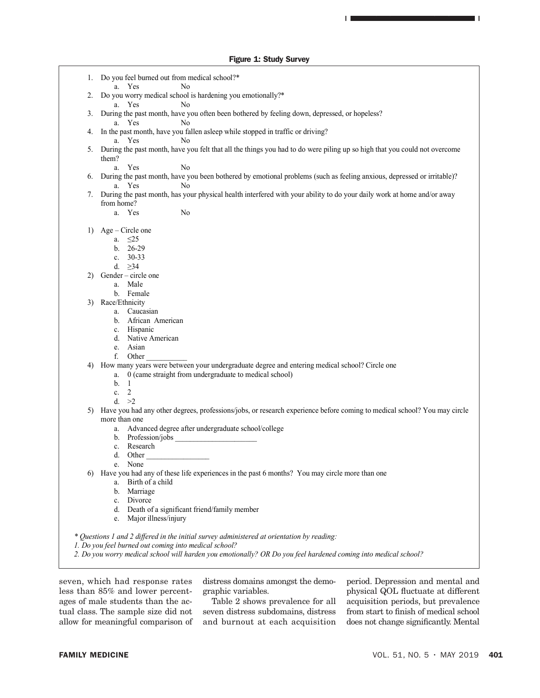#### Figure 1: Study Survey

1. Do you feel burned out from medical school?\* a. Yes No 2. Do you worry medical school is hardening you emotionally?\* a. Yes No During the past month, have you often been bothered by feeling down, depressed, or hopeless? a. Yes No 4. In the past month, have you fallen asleep while stopped in traffic or driving? a. Yes No 5. During the past month, have you felt that all the things you had to do were piling up so high that you could not overcome them? a. Yes No 6. During the past month, have you been bothered by emotional problems (such as feeling anxious, depressed or irritable)? a. Yes No 7. During the past month, has your physical health interfered with your ability to do your daily work at home and/or away from home? a. Yes No 1) Age – Circle one a. ≤25 b. 26-29 c. 30-33 d. ≥34 2) Gender – circle one a. Male b. Female 3) Race/Ethnicity a. Caucasian b. African American c. Hispanic d. Native American e. Asian f. Other 4) How many years were between your undergraduate degree and entering medical school? Circle one a. 0 (came straight from undergraduate to medical school) b. 1 c. 2 d. >2 5) Have you had any other degrees, professions/jobs, or research experience before coming to medical school? You may circle more than one a. Advanced degree after undergraduate school/college b. Profession/jobs c. Research d. Other e. None 6) Have you had any of these life experiences in the past 6 months? You may circle more than one a. Birth of a child b. Marriage c. Divorce d. Death of a significant friend/family member e. Major illness/injury *\* Questions 1 and 2 differed in the initial survey administered at orientation by reading: 1. Do you feel burned out coming into medical school? 2. Do you worry medical school will harden you emotionally? OR Do you feel hardened coming into medical school?*

seven, which had response rates less than 85% and lower percentages of male students than the actual class. The sample size did not allow for meaningful comparison of distress domains amongst the demographic variables.

Table 2 shows prevalence for all seven distress subdomains, distress and burnout at each acquisition

period. Depression and mental and physical QOL fuctuate at different acquisition periods, but prevalence from start to fnish of medical school does not change signifcantly. Mental

<u>ORIGINAL ARTICLES I</u>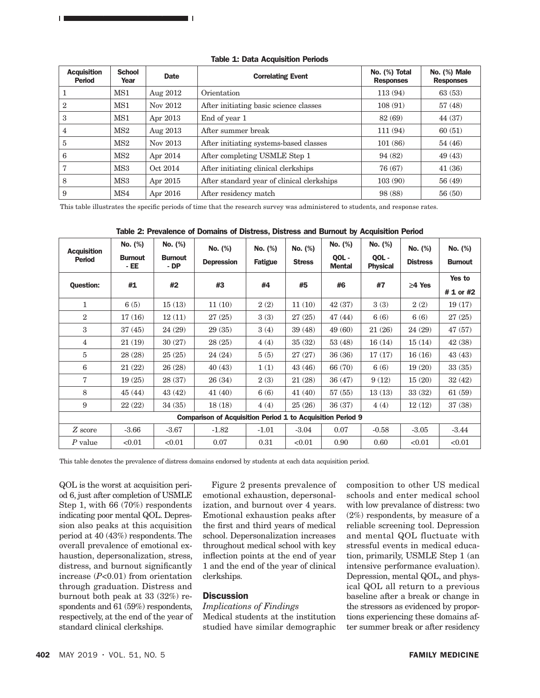| <b>Acquisition</b><br><b>Period</b> | <b>School</b><br>Year | <b>Date</b> | <b>Correlating Event</b>                   | No. (%) Total<br><b>Responses</b> | No. (%) Male<br><b>Responses</b> |
|-------------------------------------|-----------------------|-------------|--------------------------------------------|-----------------------------------|----------------------------------|
|                                     | MS1                   | Aug 2012    | Orientation                                | 113 (94)                          | 63(53)                           |
| $\mathbf{2}$                        | MS1                   | Nov 2012    | After initiating basic science classes     | 108(91)                           | 57(48)                           |
| 3                                   | MS1                   | Apr 2013    | End of year 1                              | 82 (69)                           | 44 (37)                          |
| 4                                   | MS2                   | Aug 2013    | After summer break                         | 111 (94)                          | 60(51)                           |
| 5                                   | MS2                   | Nov 2013    | After initiating systems-based classes     | 101(86)                           | 54(46)                           |
| 6                                   | MS2                   | Apr 2014    | After completing USMLE Step 1              | 94 (82)                           | 49(43)                           |
| 7                                   | MS3                   | Oct. 2014   | After initiating clinical clerkships       | 76 (67)                           | 41(36)                           |
| 8                                   | MS3                   | Apr 2015    | After standard year of clinical clerkships | 103(90)                           | 56(49)                           |
| 9                                   | MS4                   | Apr 2016    | After residency match                      | 98 (88)                           | 56(50)                           |

This table illustrates the specifc periods of time that the research survey was administered to students, and response rates.

| <b>Acquisition</b><br><b>Period</b>                               | No. (%)                | No. (%)                | No. (%)           | No. (%)        | No. (%)       | No. (%)                | No. (%)                  | No. (%)         | No. (%)             |  |  |
|-------------------------------------------------------------------|------------------------|------------------------|-------------------|----------------|---------------|------------------------|--------------------------|-----------------|---------------------|--|--|
|                                                                   | <b>Burnout</b><br>- EE | <b>Burnout</b><br>- DP | <b>Depression</b> | <b>Fatigue</b> | <b>Stress</b> | QOL -<br><b>Mental</b> | QOL -<br><b>Physical</b> | <b>Distress</b> | <b>Burnout</b>      |  |  |
| <b>Question:</b>                                                  | #1                     | #2                     | #3                | #4             | #5            | #6                     | #7                       | $\geq$ 4 Yes    | Yes to<br># 1 or #2 |  |  |
| 1                                                                 | 6(5)                   | 15(13)                 | 11(10)            | 2(2)           | 11(10)        | 42(37)                 | 3(3)                     | 2(2)            | 19(17)              |  |  |
| $\overline{2}$                                                    | 17(16)                 | 12(11)                 | 27(25)            | 3(3)           | 27(25)        | 47(44)                 | 6(6)                     | 6(6)            | 27(25)              |  |  |
| 3                                                                 | 37(45)                 | 24(29)                 | 29(35)            | 3(4)           | 39(48)        | 49(60)                 | 21(26)                   | 24 (29)         | 47 (57)             |  |  |
| $\overline{4}$                                                    | 21(19)                 | 30(27)                 | 28(25)            | 4(4)           | 35(32)        | 53 (48)                | 16(14)                   | 15(14)          | 42(38)              |  |  |
| 5                                                                 | 28 (28)                | 25(25)                 | 24 (24)           | 5(5)           | 27(27)        | 36(36)                 | 17(17)                   | 16(16)          | 43(43)              |  |  |
| 6                                                                 | 21(22)                 | 26(28)                 | 40(43)            | 1(1)           | 43(46)        | 66 (70)                | 6(6)                     | 19(20)          | 33(35)              |  |  |
| 7                                                                 | 19(25)                 | 28 (37)                | 26(34)            | 2(3)           | 21(28)        | 36(47)                 | 9(12)                    | 15(20)          | 32(42)              |  |  |
| 8                                                                 | 45(44)                 | 43(42)                 | 41(40)            | 6(6)           | 41(40)        | 57(55)                 | 13(13)                   | 33 (32)         | 61(59)              |  |  |
| 9                                                                 | 22(22)                 | 34(35)                 | 18(18)            | 4(4)           | 25(26)        | 36(37)                 | 4(4)                     | 12(12)          | 37(38)              |  |  |
| <b>Comparison of Acquisition Period 1 to Acquisition Period 9</b> |                        |                        |                   |                |               |                        |                          |                 |                     |  |  |
| Z score                                                           | $-3.66$                | $-3.67$                | $-1.82$           | $-1.01$        | $-3.04$       | 0.07                   | $-0.58$                  | $-3.05$         | $-3.44$             |  |  |
| $P$ value                                                         | < 0.01                 | < 0.01                 | 0.07              | 0.31           | < 0.01        | 0.90                   | 0.60                     | < 0.01          | < 0.01              |  |  |

Table 2: Prevalence of Domains of Distress, Distress and Burnout by Acquisition Period

This table denotes the prevalence of distress domains endorsed by students at each data acquisition period.

QOL is the worst at acquisition period 6, just after completion of USMLE Step 1, with 66 (70%) respondents indicating poor mental QOL. Depression also peaks at this acquisition period at 40 (43%) respondents. The overall prevalence of emotional exhaustion, depersonalization, stress, distress, and burnout signifcantly increase (*P*<0.01) from orientation through graduation. Distress and burnout both peak at 33 (32%) respondents and 61 (59%) respondents, respectively, at the end of the year of standard clinical clerkships.

<u>ORIGINAL ARTICLES I</u>

Figure 2 presents prevalence of emotional exhaustion, depersonalization, and burnout over 4 years. Emotional exhaustion peaks after the frst and third years of medical school. Depersonalization increases throughout medical school with key infection points at the end of year 1 and the end of the year of clinical clerkships.

## **Discussion**

# *Implications of Findings*

Medical students at the institution studied have similar demographic composition to other US medical schools and enter medical school with low prevalance of distress: two (2%) respondents, by measure of a reliable screening tool. Depression and mental QOL fluctuate with stressful events in medical education, primarily, USMLE Step 1 (an intensive performance evaluation). Depression, mental QOL, and physical QOL all return to a previous baseline after a break or change in the stressors as evidenced by proportions experiencing these domains after summer break or after residency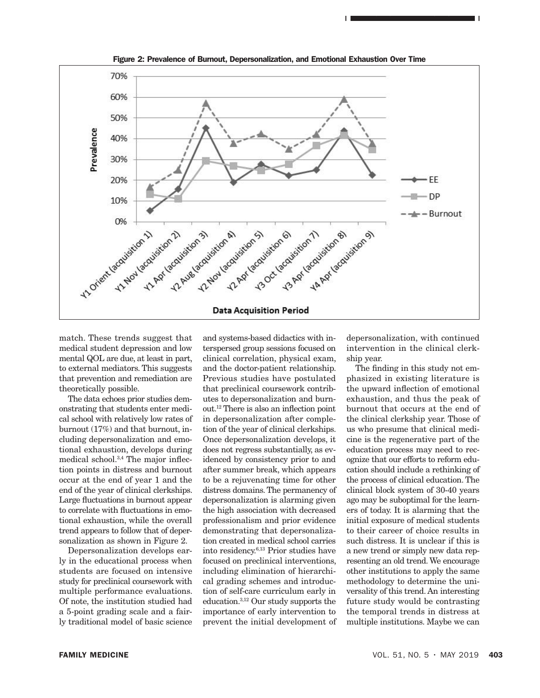

Figure 2: Prevalence of Burnout, Depersonalization, and Emotional Exhaustion Over Time

match. These trends suggest that medical student depression and low mental QOL are due, at least in part, to external mediators. This suggests that prevention and remediation are theoretically possible.

The data echoes prior studies demonstrating that students enter medical school with relatively low rates of burnout (17%) and that burnout, including depersonalization and emotional exhaustion, develops during medical school.3,4 The major infection points in distress and burnout occur at the end of year 1 and the end of the year of clinical clerkships. Large fuctuations in burnout appear to correlate with fuctuations in emotional exhaustion, while the overall trend appears to follow that of depersonalization as shown in Figure 2.

Depersonalization develops early in the educational process when students are focused on intensive study for preclinical coursework with multiple performance evaluations. Of note, the institution studied had a 5-point grading scale and a fairly traditional model of basic science

and systems-based didactics with interspersed group sessions focused on clinical correlation, physical exam, and the doctor-patient relationship. Previous studies have postulated that preclinical coursework contributes to depersonalization and burnout.12 There is also an infection point in depersonalization after completion of the year of clinical clerkships. Once depersonalization develops, it does not regress substantially, as evidenced by consistency prior to and after summer break, which appears to be a rejuvenating time for other distress domains. The permanency of depersonalization is alarming given the high association with decreased professionalism and prior evidence demonstrating that depersonalization created in medical school carries into residency.6,13 Prior studies have focused on preclinical interventions, including elimination of hierarchical grading schemes and introduction of self-care curriculum early in education.3,12 Our study supports the importance of early intervention to prevent the initial development of

depersonalization, with continued intervention in the clinical clerkship year.

<u>ORIGINAL ARTICLES I</u>

The fnding in this study not emphasized in existing literature is the upward infection of emotional exhaustion, and thus the peak of burnout that occurs at the end of the clinical clerkship year. Those of us who presume that clinical medicine is the regenerative part of the education process may need to recognize that our efforts to reform education should include a rethinking of the process of clinical education. The clinical block system of 30-40 years ago may be suboptimal for the learners of today. It is alarming that the initial exposure of medical students to their career of choice results in such distress. It is unclear if this is a new trend or simply new data representing an old trend. We encourage other institutions to apply the same methodology to determine the universality of this trend. An interesting future study would be contrasting the temporal trends in distress at multiple institutions. Maybe we can